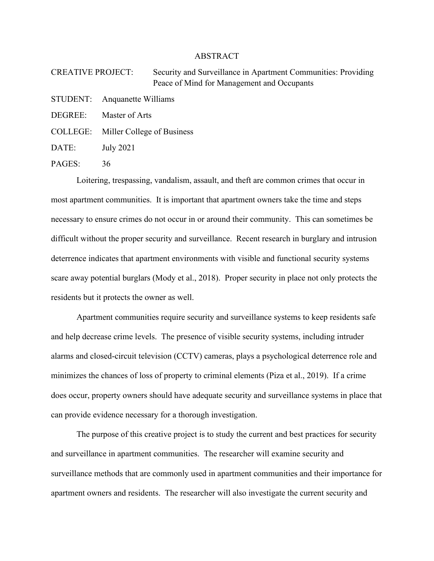## ABSTRACT

CREATIVE PROJECT: Security and Surveillance in Apartment Communities: Providing Peace of Mind for Management and Occupants

STUDENT: Anquanette Williams

DEGREE: Master of Arts

COLLEGE: Miller College of Business

DATE: July 2021

PAGES: 36

Loitering, trespassing, vandalism, assault, and theft are common crimes that occur in most apartment communities. It is important that apartment owners take the time and steps necessary to ensure crimes do not occur in or around their community. This can sometimes be difficult without the proper security and surveillance. Recent research in burglary and intrusion deterrence indicates that apartment environments with visible and functional security systems scare away potential burglars (Mody et al., 2018). Proper security in place not only protects the residents but it protects the owner as well.

Apartment communities require security and surveillance systems to keep residents safe and help decrease crime levels. The presence of visible security systems, including intruder alarms and closed-circuit television (CCTV) cameras, plays a psychological deterrence role and minimizes the chances of loss of property to criminal elements (Piza et al., 2019). If a crime does occur, property owners should have adequate security and surveillance systems in place that can provide evidence necessary for a thorough investigation.

The purpose of this creative project is to study the current and best practices for security and surveillance in apartment communities. The researcher will examine security and surveillance methods that are commonly used in apartment communities and their importance for apartment owners and residents. The researcher will also investigate the current security and